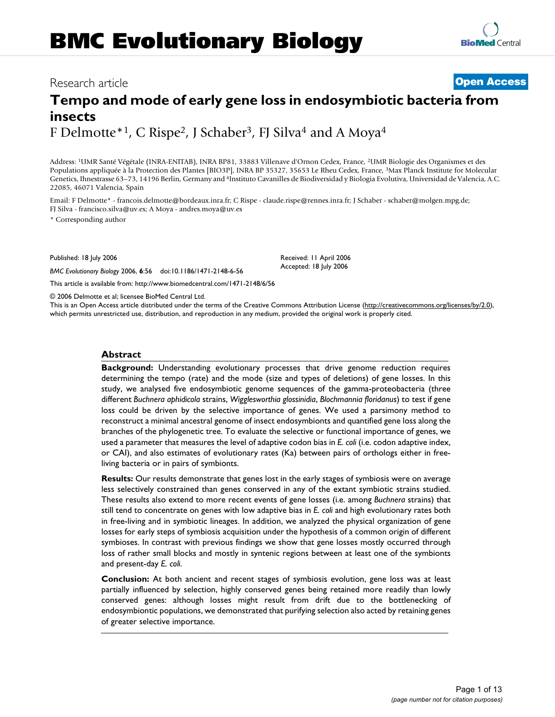## Research article **[Open Access](http://www.biomedcentral.com/info/about/charter/)**

# **Tempo and mode of early gene loss in endosymbiotic bacteria from insects** F Delmotte\*1, C Rispe2, J Schaber3, FJ Silva4 and A Moya4

Address: 1UMR Santé Végétale (INRA-ENITAB), INRA BP81, 33883 Villenave d'Ornon Cedex, France, 2UMR Biologie des Organismes et des

Populations appliquée à la Protection des Plantes [BIO3P], INRA BP 35327, 35653 Le Rheu Cedex, France, 3Max Planck Institute for Molecular Genetics, Ihnestrasse 63–73, 14196 Berlin, Germany and 4Instituto Cavanilles de Biodiversidad y Biologia Evolutiva, Universidad de Valencia, A.C. 22085, 46071 Valencia, Spain

Email: F Delmotte\* - francois.delmotte@bordeaux.inra.fr; C Rispe - claude.rispe@rennes.inra.fr; J Schaber - schaber@molgen.mpg.de; FJ Silva - francisco.silva@uv.es; A Moya - andres.moya@uv.es

\* Corresponding author

Published: 18 July 2006

*BMC Evolutionary Biology* 2006, **6**:56 doi:10.1186/1471-2148-6-56

[This article is available from: http://www.biomedcentral.com/1471-2148/6/56](http://www.biomedcentral.com/1471-2148/6/56)

© 2006 Delmotte et al; licensee BioMed Central Ltd.

This is an Open Access article distributed under the terms of the Creative Commons Attribution License [\(http://creativecommons.org/licenses/by/2.0\)](http://creativecommons.org/licenses/by/2.0), which permits unrestricted use, distribution, and reproduction in any medium, provided the original work is properly cited.

Received: 11 April 2006 Accepted: 18 July 2006

#### **Abstract**

**Background:** Understanding evolutionary processes that drive genome reduction requires determining the tempo (rate) and the mode (size and types of deletions) of gene losses. In this study, we analysed five endosymbiotic genome sequences of the gamma-proteobacteria (three different *Buchnera aphidicola* strains, *Wigglesworthia glossinidia*, *Blochmannia floridanus*) to test if gene loss could be driven by the selective importance of genes. We used a parsimony method to reconstruct a minimal ancestral genome of insect endosymbionts and quantified gene loss along the branches of the phylogenetic tree. To evaluate the selective or functional importance of genes, we used a parameter that measures the level of adaptive codon bias in *E. coli* (i.e. codon adaptive index, or CAI), and also estimates of evolutionary rates (Ka) between pairs of orthologs either in freeliving bacteria or in pairs of symbionts.

**Results:** Our results demonstrate that genes lost in the early stages of symbiosis were on average less selectively constrained than genes conserved in any of the extant symbiotic strains studied. These results also extend to more recent events of gene losses (i.e. among *Buchnera* strains) that still tend to concentrate on genes with low adaptive bias in *E. coli* and high evolutionary rates both in free-living and in symbiotic lineages. In addition, we analyzed the physical organization of gene losses for early steps of symbiosis acquisition under the hypothesis of a common origin of different symbioses. In contrast with previous findings we show that gene losses mostly occurred through loss of rather small blocks and mostly in syntenic regions between at least one of the symbionts and present-day *E. coli*.

**Conclusion:** At both ancient and recent stages of symbiosis evolution, gene loss was at least partially influenced by selection, highly conserved genes being retained more readily than lowly conserved genes: although losses might result from drift due to the bottlenecking of endosymbiontic populations, we demonstrated that purifying selection also acted by retaining genes of greater selective importance.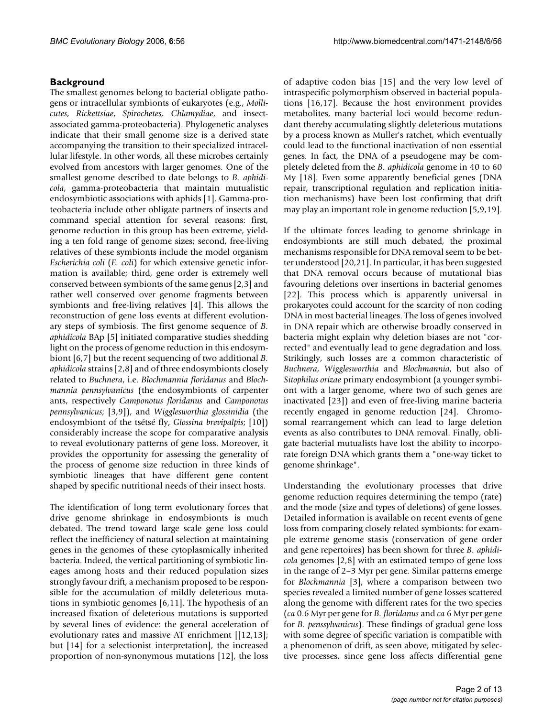## **Background**

The smallest genomes belong to bacterial obligate pathogens or intracellular symbionts of eukaryotes (e.g., *Mollicutes*, *Rickettsiae*, *Spirochetes, Chlamydiae*, and insectassociated gamma-proteobacteria). Phylogenetic analyses indicate that their small genome size is a derived state accompanying the transition to their specialized intracellular lifestyle. In other words, all these microbes certainly evolved from ancestors with larger genomes. One of the smallest genome described to date belongs to *B. aphidicola*, gamma-proteobacteria that maintain mutualistic endosymbiotic associations with aphids [1]. Gamma-proteobacteria include other obligate partners of insects and command special attention for several reasons: first, genome reduction in this group has been extreme, yielding a ten fold range of genome sizes; second, free-living relatives of these symbionts include the model organism *Escherichia coli* (*E. coli*) for which extensive genetic information is available; third, gene order is extremely well conserved between symbionts of the same genus [2,3] and rather well conserved over genome fragments between symbionts and free-living relatives [4]. This allows the reconstruction of gene loss events at different evolutionary steps of symbiosis. The first genome sequence of *B. aphidicola* BAp [5] initiated comparative studies shedding light on the process of genome reduction in this endosymbiont [6,7] but the recent sequencing of two additional *B. aphidicola* strains [2,8] and of three endosymbionts closely related to *Buchnera*, i.e. *Blochmannia floridanus* and *Blochmannia pennsylvanicus* (the endosymbionts of carpenter ants, respectively *Camponotus floridanus* and *Camponotus pennsylvanicus*; [3,9]), and *Wigglesworthia glossinidia* (the endosymbiont of the tsétsé fly, *Glossina brevipalpis*; [10]) considerably increase the scope for comparative analysis to reveal evolutionary patterns of gene loss. Moreover, it provides the opportunity for assessing the generality of the process of genome size reduction in three kinds of symbiotic lineages that have different gene content shaped by specific nutritional needs of their insect hosts.

The identification of long term evolutionary forces that drive genome shrinkage in endosymbionts is much debated. The trend toward large scale gene loss could reflect the inefficiency of natural selection at maintaining genes in the genomes of these cytoplasmically inherited bacteria. Indeed, the vertical partitioning of symbiotic lineages among hosts and their reduced population sizes strongly favour drift, a mechanism proposed to be responsible for the accumulation of mildly deleterious mutations in symbiotic genomes [6,11]. The hypothesis of an increased fixation of deleterious mutations is supported by several lines of evidence: the general acceleration of evolutionary rates and massive AT enrichment [[12,13]; but [14] for a selectionist interpretation], the increased proportion of non-synonymous mutations [12], the loss

of adaptive codon bias [15] and the very low level of intraspecific polymorphism observed in bacterial populations [[16,](#page-11-0)17]. Because the host environment provides metabolites, many bacterial loci would become redundant thereby accumulating slightly deleterious mutations by a process known as Muller's ratchet, which eventually could lead to the functional inactivation of non essential genes. In fact, the DNA of a pseudogene may be completely deleted from the *B. aphidicola* genome in 40 to 60 My [18]. Even some apparently beneficial genes (DNA repair, transcriptional regulation and replication initiation mechanisms) have been lost confirming that drift may play an important role in genome reduction [5,9,19].

If the ultimate forces leading to genome shrinkage in endosymbionts are still much debated, the proximal mechanisms responsible for DNA removal seem to be better understood [20,21]. In particular, it has been suggested that DNA removal occurs because of mutational bias favouring deletions over insertions in bacterial genomes [22]. This process which is apparently universal in prokaryotes could account for the scarcity of non coding DNA in most bacterial lineages. The loss of genes involved in DNA repair which are otherwise broadly conserved in bacteria might explain why deletion biases are not "corrected" and eventually lead to gene degradation and loss. Strikingly, such losses are a common characteristic of *Buchnera*, *Wigglesworthia* and *Blochmannia*, but also of *Sitophilus orizae* primary endosymbiont (a younger symbiont with a larger genome, where two of such genes are inactivated [23]) and even of free-living marine bacteria recently engaged in genome reduction [24]. Chromosomal rearrangement which can lead to large deletion events as also contributes to DNA removal. Finally, obligate bacterial mutualists have lost the ability to incorporate foreign DNA which grants them a "one-way ticket to genome shrinkage".

Understanding the evolutionary processes that drive genome reduction requires determining the tempo (rate) and the mode (size and types of deletions) of gene losses. Detailed information is available on recent events of gene loss from comparing closely related symbionts: for example extreme genome stasis (conservation of gene order and gene repertoires) has been shown for three *B. aphidicola* genomes [2,8] with an estimated tempo of gene loss in the range of 2–3 Myr per gene. Similar patterns emerge for *Blochmannia* [3], where a comparison between two species revealed a limited number of gene losses scattered along the genome with different rates for the two species (*ca* 0.6 Myr per gene for *B. floridanus* and *ca* 6 Myr per gene for *B. penssylvanicus*). These findings of gradual gene loss with some degree of specific variation is compatible with a phenomenon of drift, as seen above, mitigated by selective processes, since gene loss affects differential gene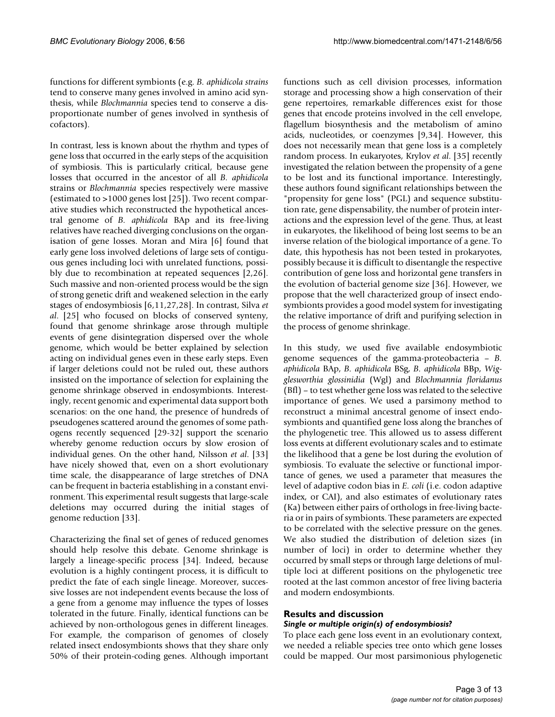functions for different symbionts (e.g. *B. aphidicola strains* tend to conserve many genes involved in amino acid synthesis, while *Blochmannia* species tend to conserve a disproportionate number of genes involved in synthesis of cofactors).

In contrast, less is known about the rhythm and types of gene loss that occurred in the early steps of the acquisition of symbiosis. This is particularly critical, because gene losses that occurred in the ancestor of all *B. aphidicola* strains or *Blochmannia* species respectively were massive (estimated to >1000 genes lost [25]). Two recent comparative studies which reconstructed the hypothetical ancestral genome of *B. aphidicola* BAp and its free-living relatives have reached diverging conclusions on the organisation of gene losses. Moran and Mira [6] found that early gene loss involved deletions of large sets of contiguous genes including loci with unrelated functions, possibly due to recombination at repeated sequences [2,26]. Such massive and non-oriented process would be the sign of strong genetic drift and weakened selection in the early stages of endosymbiosis [6,11,27,28]. In contrast, Silva *et al*. [25] who focused on blocks of conserved synteny, found that genome shrinkage arose through multiple events of gene disintegration dispersed over the whole genome, which would be better explained by selection acting on individual genes even in these early steps. Even if larger deletions could not be ruled out, these authors insisted on the importance of selection for explaining the genome shrinkage observed in endosymbionts. Interestingly, recent genomic and experimental data support both scenarios: on the one hand, the presence of hundreds of pseudogenes scattered around the genomes of some pathogens recently sequenced [29-32] support the scenario whereby genome reduction occurs by slow erosion of individual genes. On the other hand, Nilsson *et al*. [33] have nicely showed that, even on a short evolutionary time scale, the disappearance of large stretches of DNA can be frequent in bacteria establishing in a constant environment. This experimental result suggests that large-scale deletions may occurred during the initial stages of genome reduction [33].

Characterizing the final set of genes of reduced genomes should help resolve this debate. Genome shrinkage is largely a lineage-specific process [34]. Indeed, because evolution is a highly contingent process, it is difficult to predict the fate of each single lineage. Moreover, successive losses are not independent events because the loss of a gene from a genome may influence the types of losses tolerated in the future. Finally, identical functions can be achieved by non-orthologous genes in different lineages. For example, the comparison of genomes of closely related insect endosymbionts shows that they share only 50% of their protein-coding genes. Although important

functions such as cell division processes, information storage and processing show a high conservation of their gene repertoires, remarkable differences exist for those genes that encode proteins involved in the cell envelope, flagellum biosynthesis and the metabolism of amino acids, nucleotides, or coenzymes [9,34]. However, this does not necessarily mean that gene loss is a completely random process. In eukaryotes, Krylov *et al*. [35] recently investigated the relation between the propensity of a gene to be lost and its functional importance. Interestingly, these authors found significant relationships between the "propensity for gene loss" (PGL) and sequence substitution rate, gene dispensability, the number of protein interactions and the expression level of the gene. Thus, at least in eukaryotes, the likelihood of being lost seems to be an inverse relation of the biological importance of a gene. To date, this hypothesis has not been tested in prokaryotes, possibly because it is difficult to disentangle the respective contribution of gene loss and horizontal gene transfers in the evolution of bacterial genome size [36]. However, we propose that the well characterized group of insect endosymbionts provides a good model system for investigating the relative importance of drift and purifying selection in the process of genome shrinkage.

In this study, we used five available endosymbiotic genome sequences of the gamma-proteobacteria – *B. aphidicola* BAp, *B. aphidicola* BSg, *B. aphidicola* BBp, *Wigglesworthia glossinidia* (Wgl) and *Blochmannia floridanus* (Bfl) – to test whether gene loss was related to the selective importance of genes. We used a parsimony method to reconstruct a minimal ancestral genome of insect endosymbionts and quantified gene loss along the branches of the phylogenetic tree. This allowed us to assess different loss events at different evolutionary scales and to estimate the likelihood that a gene be lost during the evolution of symbiosis. To evaluate the selective or functional importance of genes, we used a parameter that measures the level of adaptive codon bias in *E. coli* (i.e. codon adaptive index, or CAI), and also estimates of evolutionary rates (Ka) between either pairs of orthologs in free-living bacteria or in pairs of symbionts. These parameters are expected to be correlated with the selective pressure on the genes. We also studied the distribution of deletion sizes (in number of loci) in order to determine whether they occurred by small steps or through large deletions of multiple loci at different positions on the phylogenetic tree rooted at the last common ancestor of free living bacteria and modern endosymbionts.

## **Results and discussion**

## *Single or multiple origin(s) of endosymbiosis?*

To place each gene loss event in an evolutionary context, we needed a reliable species tree onto which gene losses could be mapped. Our most parsimonious phylogenetic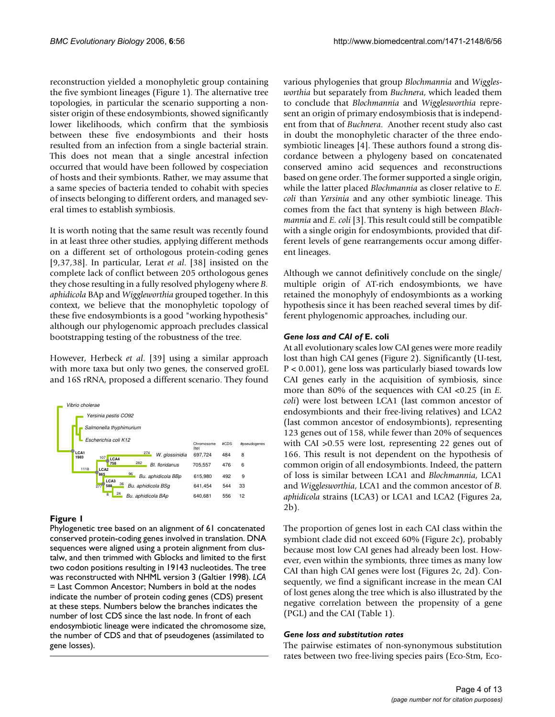reconstruction yielded a monophyletic group containing the five symbiont lineages (Figure 1). The alternative tree topologies, in particular the scenario supporting a nonsister origin of these endosymbionts, showed significantly lower likelihoods, which confirm that the symbiosis between these five endosymbionts and their hosts resulted from an infection from a single bacterial strain. This does not mean that a single ancestral infection occurred that would have been followed by cospeciation of hosts and their symbionts. Rather, we may assume that a same species of bacteria tended to cohabit with species of insects belonging to different orders, and managed several times to establish symbiosis.

It is worth noting that the same result was recently found in at least three other studies, applying different methods on a different set of orthologous protein-coding genes [9,37,38]. In particular, Lerat *et al*. [38] insisted on the complete lack of conflict between 205 orthologous genes they chose resulting in a fully resolved phylogeny where *B. aphidicola* BAp and *Wiggleworthia* grouped together. In this context, we believe that the monophyletic topology of these five endosymbionts is a good "working hypothesis" although our phylogenomic approach precludes classical bootstrapping testing of the robustness of the tree.

However, Herbeck *et al*. [39] using a similar approach with more taxa but only two genes, the conserved groEL and 16S rRNA, proposed a different scenario. They found



## **Figure 1**

Phylogenetic tree based on an alignment of 61 concatenated conserved protein-coding genes involved in translation. DNA sequences were aligned using a protein alignment from clustalw, and then trimmed with Gblocks and limited to the first two codon positions resulting in 19143 nucleotides. The tree was reconstructed with NHML version 3 (Galtier 1998). *LCA*  = Last Common Ancestor; Numbers in bold at the nodes indicate the number of protein coding genes (CDS) present at these steps. Numbers below the branches indicates the number of lost CDS since the last node. In front of each endosymbiotic lineage were indicated the chromosome size, the number of CDS and that of pseudogenes (assimilated to gene losses).

various phylogenies that group *Blochmannia* and *Wigglesworthia* but separately from *Buchnera*, which leaded them to conclude that *Blochmannia* and *Wigglesworthia* represent an origin of primary endosymbiosis that is independent from that of *Buchnera*. Another recent study also cast in doubt the monophyletic character of the three endosymbiotic lineages [4]. These authors found a strong discordance between a phylogeny based on concatenated conserved amino acid sequences and reconstructions based on gene order. The former supported a single origin, while the latter placed *Blochmannia* as closer relative to *E. coli* than *Yersinia* and any other symbiotic lineage. This comes from the fact that synteny is high between *Blochmannia* and *E. coli* [3]. This result could still be compatible with a single origin for endosymbionts, provided that different levels of gene rearrangements occur among different lineages.

Although we cannot definitively conclude on the single/ multiple origin of AT-rich endosymbionts, we have retained the monophyly of endosymbionts as a working hypothesis since it has been reached several times by different phylogenomic approaches, including our.

## *Gene loss and CAI of* **E. coli**

At all evolutionary scales low CAI genes were more readily lost than high CAI genes (Figure 2). Significantly (U-test, P < 0.001), gene loss was particularly biased towards low CAI genes early in the acquisition of symbiosis, since more than 80% of the sequences with CAI <0.25 (in *E. coli*) were lost between LCA1 (last common ancestor of endosymbionts and their free-living relatives) and LCA2 (last common ancestor of endosymbionts), representing 123 genes out of 158, while fewer than 20% of sequences with CAI >0.55 were lost, representing 22 genes out of 166. This result is not dependent on the hypothesis of common origin of all endosymbionts. Indeed, the pattern of loss is similar between LCA1 and *Blochmannia*, LCA1 and *Wigglesworthia*, LCA1 and the common ancestor of *B. aphidicola* strains (LCA3) or LCA1 and LCA2 (Figures 2a, 2b).

The proportion of genes lost in each CAI class within the symbiont clade did not exceed 60% (Figure 2c), probably because most low CAI genes had already been lost. However, even within the symbionts, three times as many low CAI than high CAI genes were lost (Figures 2c, 2d). Consequently, we find a significant increase in the mean CAI of lost genes along the tree which is also illustrated by the negative correlation between the propensity of a gene (PGL) and the CAI (Table 1).

## *Gene loss and substitution rates*

The pairwise estimates of non-synonymous substitution rates between two free-living species pairs (Eco-Stm, Eco-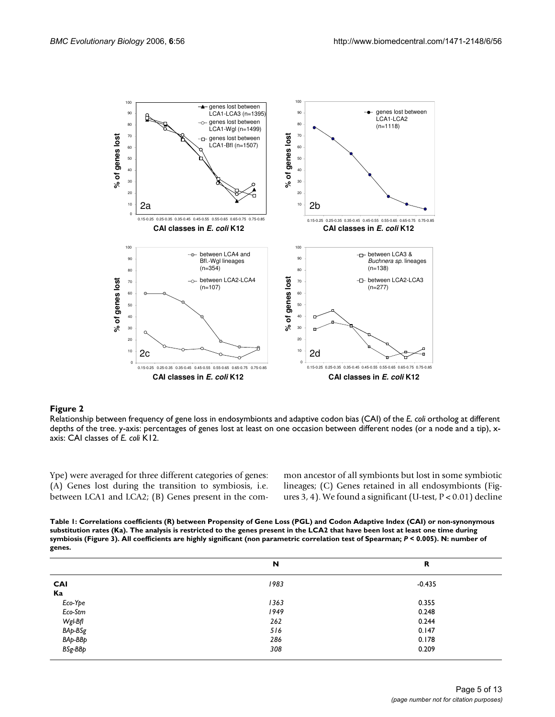

#### Relationship between frequency of depths of the tree **Figure 2** gene loss in endosymbionts and adaptive codon bias (CAI) of the *E. coli* ortholog at different

Relationship between frequency of gene loss in endosymbionts and adaptive codon bias (CAI) of the *E. coli* ortholog at different depths of the tree. y-axis: percentages of genes lost at least on one occasion between different nodes (or a node and a tip), xaxis: CAI classes of *E. coli* K12.

Ype) were averaged for three different categories of genes: (A) Genes lost during the transition to symbiosis, i.e. between LCA1 and LCA2; (B) Genes present in the common ancestor of all symbionts but lost in some symbiotic lineages; (C) Genes retained in all endosymbionts (Figures 3, 4). We found a significant (U-test, P < 0.01) decline

**Table 1: Correlations coefficients (R) between Propensity of Gene Loss (PGL) and Codon Adaptive Index (CAI) or non-synonymous substitution rates (Ka). The analysis is restricted to the genes present in the LCA2 that have been lost at least one time during symbiosis (Figure 3). All coefficients are highly significant (non parametric correlation test of Spearman;** *P* **< 0.005). N: number of genes.**

|                               | N    | R        |
|-------------------------------|------|----------|
| <b>CAI</b>                    | 1983 | $-0.435$ |
| Ka                            |      |          |
| Eco-Ype                       | 1363 | 0.355    |
| Eco-Stm                       | 1949 | 0.248    |
|                               | 262  | 0.244    |
|                               | 516  | 0.147    |
| Wgl-Bfl<br>BAp-BSg<br>BAp-BBp | 286  | 0.178    |
| BSg-BBp                       | 308  | 0.209    |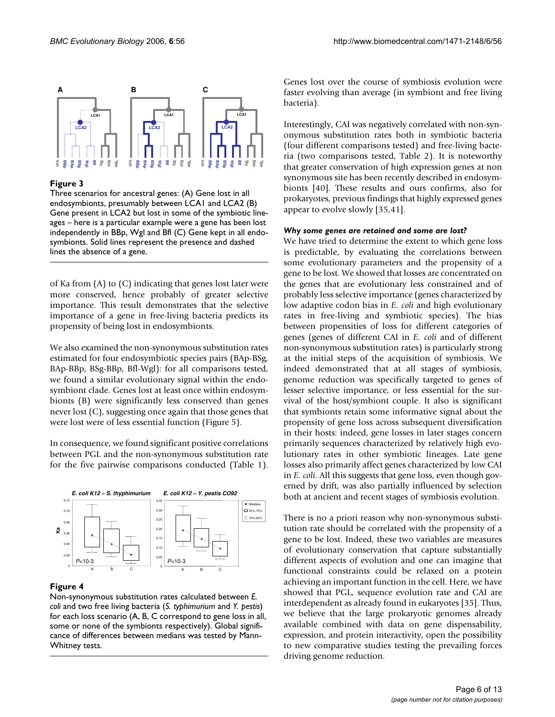

## Figure 3

Three scenarios for ancestral genes: (A) Gene lost in all endosymbionts, presumably between LCA1 and LCA2 (B) Gene present in LCA2 but lost in some of the symbiotic lineages – here is a particular example were a gene has been lost independently in BBp, Wgl and Bfl (C) Gene kept in all endosymbionts. Solid lines represent the presence and dashed So a general set all  $\frac{2}{3}$  and  $\frac{2}{3}$  and  $\frac{2}{3}$  and  $\frac{2}{3}$  and  $\frac{2}{3}$  and  $\frac{2}{3}$  and  $\frac{2}{3}$  and  $\frac{2}{3}$  bere present in LCA2 but ages – here is a particular eximal sindependently in BBp, Wgl symbio

of Ka from (A) to (C) indicating that genes lost later were more conserved, hence probably of greater selective importance. This result demonstrates that the selective importance of a gene in free-living bacteria predicts its propensity of being lost in endosymbionts.

We also examined the non-synonymous substitution rates estimated for four endosymbiotic species pairs (BAp-BSg, BAp-BBp, BSg-BBp, Bfl-Wgl): for all comparisons tested, we found a similar evolutionary signal within the endosymbiont clade. Genes lost at least once within endosymbionts (B) were significantly less conserved than genes never lost (C), suggesting once again that those genes that were lost were of less essential function (Figure 5).

In consequence, we found significant positive correlations between PGL and the non-synonymous substitution rate for the five pairwise comparisons conducted (Table 1).



## Figure 4

Non-synonymous substitution rates calculated between *E. coli* and two free living bacteria (*S. typhimurium* and *Y. pestis*) for each loss scenario (A, B, C correspond to gene loss in all, some or none of the symbionts respectively). Global significance of differences between medians was tested by Mann- $\frac{d}{d} \frac{d}{d}$ <br>  $\frac{d}{d} \frac{d}{d}$ <br>  $\frac{d}{d} \frac{d}{d}$ <br>  $\frac{d}{d} \frac{d}{d}$ <br> **Ka**<br> **Ka**<br> **Kaal Eigure 4**<br> **Kaal Eigure 4**<br> **Kaal Eigure 4**<br> **Kaal Eigure 5**<br> **Kaal Eigure 5**<br> **Kaal Eigure 5**<br> **Coli and two free cach loss sc<br>
so** 

Genes lost over the course of symbiosis evolution were faster evolving than average (in symbiont and free living bacteria).

Interestingly, CAI was negatively correlated with non-synonymous substitution rates both in symbiotic bacteria (four different comparisons tested) and free-living bacteria (two comparisons tested, Table 2). It is noteworthy that greater conservation of high expression genes at non synonymous site has been recently described in endosymbionts [40]. These results and ours confirms, also for prokaryotes, previous findings that highly expressed genes appear to evolve slowly [35,41].

#### *Why some genes are retained and some are lost?*

We have tried to determine the extent to which gene loss is predictable, by evaluating the correlations between some evolutionary parameters and the propensity of a gene to be lost. We showed that losses are concentrated on the genes that are evolutionary less constrained and of probably less selective importance (genes characterized by low adaptive codon bias in *E. coli* and high evolutionary rates in free-living and symbiotic species). The bias between propensities of loss for different categories of genes (genes of different CAI in *E. coli* and of different non-synonymous substitution rates) is particularly strong at the initial steps of the acquisition of symbiosis. We indeed demonstrated that at all stages of symbiosis, genome reduction was specifically targeted to genes of lesser selective importance, or less essential for the survival of the host/symbiont couple. It also is significant that symbionts retain some informative signal about the propensity of gene loss across subsequent diversification in their hosts: indeed, gene losses in later stages concern primarily sequences characterized by relatively high evolutionary rates in other symbiotic lineages. Late gene losses also primarily affect genes characterized by low CAI in *E. coli*. All this suggests that gene loss, even though governed by drift, was also partially influenced by selection both at ancient and recent stages of symbiosis evolution.

There is no a priori reason why non-synonymous substitution rate should be correlated with the propensity of a gene to be lost. Indeed, these two variables are measures of evolutionary conservation that capture substantially different aspects of evolution and one can imagine that functional constraints could be relaxed on a protein achieving an important function in the cell. Here, we have showed that PGL, sequence evolution rate and CAI are interdependent as already found in eukaryotes [35]. Thus, we believe that the large prokaryotic genomes already available combined with data on gene dispensability, expression, and protein interactivity, open the possibility to new comparative studies testing the prevailing forces driving genome reduction.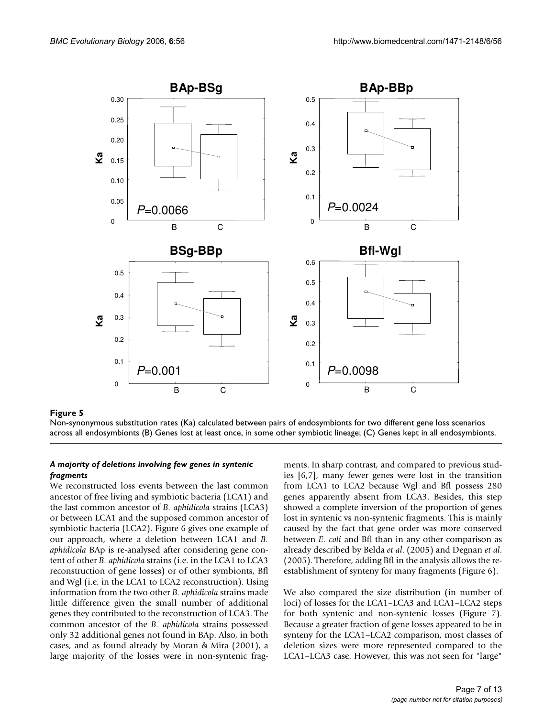

## **Figure 5** Production of the contract of the contract of the contract of the contract of the contract of the contract of the contract of the contract of the contract of the contract of the contract of the contract of the c

Non-synonymous substitution rates (Ka) calculated between pairs of endosymbionts for two different gene loss scenarios across all endosymbionts (B) Genes lost at least once, in some other symbiotic lineage; (C) Genes kept in all endosymbionts.

## *A majority of deletions involving few genes in syntenic fragments*

We reconstructed loss events between the last common ancestor of free living and symbiotic bacteria (LCA1) and the last common ancestor of *B. aphidicola* strains (LCA3) or between LCA1 and the supposed common ancestor of symbiotic bacteria (LCA2). Figure 6 gives one example of our approach, where a deletion between LCA1 and *B. aphidicola* BAp is re-analysed after considering gene content of other *B. aphidicola* strains (i.e. in the LCA1 to LCA3 reconstruction of gene losses) or of other symbionts, Bfl and Wgl (i.e. in the LCA1 to LCA2 reconstruction). Using information from the two other *B. aphidicola* strains made little difference given the small number of additional genes they contributed to the reconstruction of LCA3. The common ancestor of the *B. aphidicola* strains possessed only 32 additional genes not found in BAp. Also, in both cases, and as found already by Moran & Mira (2001), a large majority of the losses were in non-syntenic fragments. In sharp contrast, and compared to previous studies [6,7], many fewer genes were lost in the transition from LCA1 to LCA2 because Wgl and Bfl possess 280 genes apparently absent from LCA3. Besides, this step showed a complete inversion of the proportion of genes lost in syntenic vs non-syntenic fragments. This is mainly caused by the fact that gene order was more conserved between *E. coli* and Bfl than in any other comparison as already described by Belda *et al*. (2005) and Degnan *et al*. (2005). Therefore, adding Bfl in the analysis allows the reestablishment of synteny for many fragments (Figure 6).

We also compared the size distribution (in number of loci) of losses for the LCA1–LCA3 and LCA1–LCA2 steps for both syntenic and non-syntenic losses (Figure 7). Because a greater fraction of gene losses appeared to be in synteny for the LCA1–LCA2 comparison, most classes of deletion sizes were more represented compared to the LCA1–LCA3 case. However, this was not seen for "large"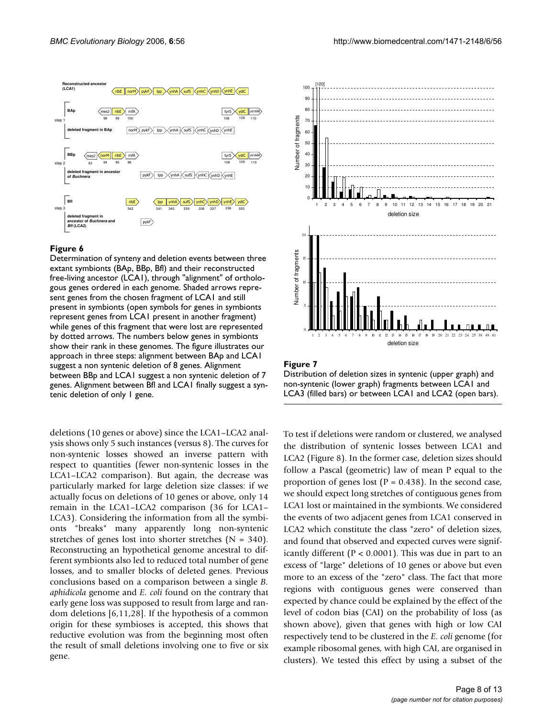

#### Figure 6

Determination of synteny and deletion events between three extant symbionts (BAp, BBp, Bfl) and their reconstructed free-living ancestor (LCA1), through "alignment" of orthologous genes ordered in each genome. Shaded arrows represent genes from the chosen fragment of LCA1 and still present in symbionts (open symbols for genes in symbionts represent genes from LCA1 present in another fragment) while genes of this fragment that were lost are represented by dotted arrows. The numbers below genes in symbionts show their rank in these genomes. The figure illustrates our approach in three steps: alignment between BAp and LCA1 suggest a non syntenic deletion of 8 genes. Alignment between BBp and LCA1 suggest a non syntenic deletion of 7 genes. Alignment between Bfl and LCA1 finally suggest a syntenic deletion of only 1 gene.

deletions (10 genes or above) since the LCA1–LCA2 analysis shows only 5 such instances (versus 8). The curves for non-syntenic losses showed an inverse pattern with respect to quantities (fewer non-syntenic losses in the LCA1–LCA2 comparison). But again, the decrease was particularly marked for large deletion size classes: if we actually focus on deletions of 10 genes or above, only 14 remain in the LCA1–LCA2 comparison (36 for LCA1– LCA3). Considering the information from all the symbionts "breaks" many apparently long non-syntenic stretches of genes lost into shorter stretches  $(N = 340)$ . Reconstructing an hypothetical genome ancestral to different symbionts also led to reduced total number of gene losses, and to smaller blocks of deleted genes. Previous conclusions based on a comparison between a single *B. aphidicola* genome and *E. coli* found on the contrary that early gene loss was supposed to result from large and random deletions [6,11,28]. If the hypothesis of a common origin for these symbioses is accepted, this shows that reductive evolution was from the beginning most often the result of small deletions involving one to five or six gene.

![](_page_7_Figure_6.jpeg)

![](_page_7_Figure_7.jpeg)

To test if deletions were random or clustered, we analysed the distribution of syntenic losses between LCA1 and LCA2 (Figure 8). In the former case, deletion sizes should follow a Pascal (geometric) law of mean P equal to the proportion of genes lost ( $P = 0.438$ ). In the second case, we should expect long stretches of contiguous genes from LCA1 lost or maintained in the symbionts. We considered the events of two adjacent genes from LCA1 conserved in LCA2 which constitute the class "zero" of deletion sizes, and found that observed and expected curves were significantly different ( $P < 0.0001$ ). This was due in part to an excess of "large" deletions of 10 genes or above but even more to an excess of the "zero" class. The fact that more regions with contiguous genes were conserved than expected by chance could be explained by the effect of the level of codon bias (CAI) on the probability of loss (as shown above), given that genes with high or low CAI respectively tend to be clustered in the *E. coli* genome (for example ribosomal genes, with high CAI, are organised in clusters). We tested this effect by using a subset of the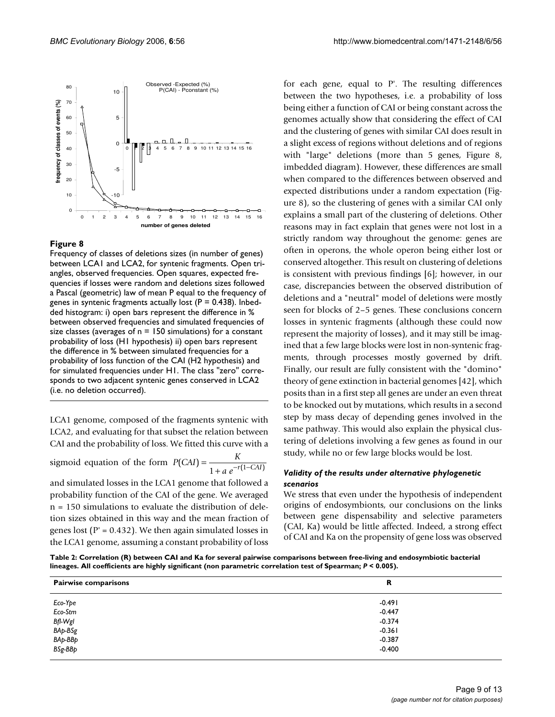![](_page_8_Figure_2.jpeg)

#### Figure 8

Frequency of classes of deletions sizes (in number of genes) between LCA1 and LCA2, for syntenic fragments. Open triangles, observed frequencies. Open squares, expected frequencies if losses were random and deletions sizes followed a Pascal (geometric) law of mean P equal to the frequency of genes in syntenic fragments actually lost ( $P = 0.438$ ). Inbedded histogram: i) open bars represent the difference in % between observed frequencies and simulated frequencies of size classes (averages of  $n = 150$  simulations) for a constant probability of loss (H1 hypothesis) ii) open bars represent the difference in % between simulated frequencies for a probability of loss function of the CAI (H2 hypothesis) and for simulated frequencies under H1. The class "zero" corresponds to two adjacent syntenic genes conserved in LCA2 (i.e. no deletion occurred).

LCA1 genome, composed of the fragments syntenic with LCA2, and evaluating for that subset the relation between CAI and the probability of loss. We fitted this curve with a sigmoid equation of the form  $P(CAI) = \frac{K}{1 + a e^{-r(1 - CAI)}}$ and simulated losses in the LCA1 genome that followed a probability function of the CAI of the gene. We averaged n = 150 simulations to evaluate the distribution of deletion sizes obtained in this way and the mean fraction of

genes lost ( $P' = 0.432$ ). We then again simulated losses in the LCA1 genome, assuming a constant probability of loss for each gene, equal to P'. The resulting differences between the two hypotheses, i.e. a probability of loss being either a function of CAI or being constant across the genomes actually show that considering the effect of CAI and the clustering of genes with similar CAI does result in a slight excess of regions without deletions and of regions with "large" deletions (more than 5 genes, Figure 8, imbedded diagram). However, these differences are small when compared to the differences between observed and expected distributions under a random expectation (Figure 8), so the clustering of genes with a similar CAI only explains a small part of the clustering of deletions. Other reasons may in fact explain that genes were not lost in a strictly random way throughout the genome: genes are often in operons, the whole operon being either lost or conserved altogether. This result on clustering of deletions is consistent with previous findings [6]; however, in our case, discrepancies between the observed distribution of deletions and a "neutral" model of deletions were mostly seen for blocks of 2–5 genes. These conclusions concern losses in syntenic fragments (although these could now represent the majority of losses), and it may still be imagined that a few large blocks were lost in non-syntenic fragments, through processes mostly governed by drift. Finally, our result are fully consistent with the "domino" theory of gene extinction in bacterial genomes [42], which posits than in a first step all genes are under an even threat to be knocked out by mutations, which results in a second step by mass decay of depending genes involved in the same pathway. This would also explain the physical clustering of deletions involving a few genes as found in our study, while no or few large blocks would be lost.

## *Validity of the results under alternative phylogenetic scenarios*

We stress that even under the hypothesis of independent origins of endosymbionts, our conclusions on the links between gene dispensability and selective parameters (CAI, Ka) would be little affected. Indeed, a strong effect of CAI and Ka on the propensity of gene loss was observed

**Table 2: Correlation (R) between CAI and Ka for several pairwise comparisons between free-living and endosymbiotic bacterial lineages. All coefficients are highly significant (non parametric correlation test of Spearman;** *P* **< 0.005).** 

| <b>Pairwise comparisons</b> | R        |  |
|-----------------------------|----------|--|
| Eco-Ype                     | $-0.491$ |  |
| Eco-Stm                     | $-0.447$ |  |
| Bfl-Wgl                     | $-0.374$ |  |
| BAp-BSg                     | $-0.361$ |  |
| BAp-BBp                     | $-0.387$ |  |
| BSg-BBp                     | $-0.400$ |  |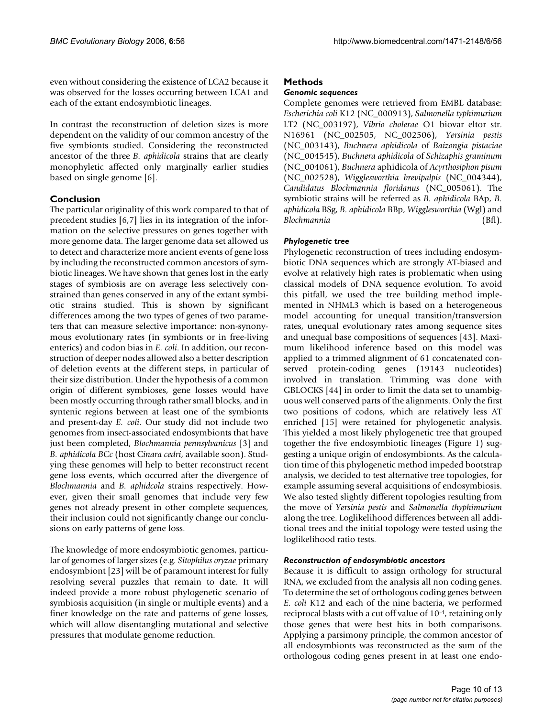even without considering the existence of LCA2 because it was observed for the losses occurring between LCA1 and each of the extant endosymbiotic lineages.

In contrast the reconstruction of deletion sizes is more dependent on the validity of our common ancestry of the five symbionts studied. Considering the reconstructed ancestor of the three *B. aphidicola* strains that are clearly monophyletic affected only marginally earlier studies based on single genome [6].

## **Conclusion**

The particular originality of this work compared to that of precedent studies [6,7] lies in its integration of the information on the selective pressures on genes together with more genome data. The larger genome data set allowed us to detect and characterize more ancient events of gene loss by including the reconstructed common ancestors of symbiotic lineages. We have shown that genes lost in the early stages of symbiosis are on average less selectively constrained than genes conserved in any of the extant symbiotic strains studied. This is shown by significant differences among the two types of genes of two parameters that can measure selective importance: non-synonymous evolutionary rates (in symbionts or in free-living enterics) and codon bias in *E. coli*. In addition, our reconstruction of deeper nodes allowed also a better description of deletion events at the different steps, in particular of their size distribution. Under the hypothesis of a common origin of different symbioses, gene losses would have been mostly occurring through rather small blocks, and in syntenic regions between at least one of the symbionts and present-day *E. coli*. Our study did not include two genomes from insect-associated endosymbionts that have just been completed, *Blochmannia pennsylvanicus* [3] and *B. aphidicola BCc* (host C*inara cedri*, available soon). Studying these genomes will help to better reconstruct recent gene loss events, which occurred after the divergence of *Blochmannia* and *B. aphidcola* strains respectively. However, given their small genomes that include very few genes not already present in other complete sequences, their inclusion could not significantly change our conclusions on early patterns of gene loss.

The knowledge of more endosymbiotic genomes, particular of genomes of larger sizes (e.g. *Sitophilus oryzae* primary endosymbiont [23] will be of paramount interest for fully resolving several puzzles that remain to date. It will indeed provide a more robust phylogenetic scenario of symbiosis acquisition (in single or multiple events) and a finer knowledge on the rate and patterns of gene losses, which will allow disentangling mutational and selective pressures that modulate genome reduction.

## **Methods**

## *Genomic sequences*

Complete genomes were retrieved from EMBL database: *Escherichia coli* K12 (NC\_000913), *Salmonella typhimurium* LT2 (NC\_003197), *Vibrio cholerae* O1 biovar eltor str. N16961 (NC\_002505, NC\_002506), *Yersinia pestis* (NC\_003143), *Buchnera aphidicola* of *Baizongia pistaciae* (NC\_004545), *Buchnera aphidicola* of *Schizaphis graminum* (NC\_004061), *Buchnera* aphidicola of *Acyrthosiphon pisum* (NC\_002528), *Wigglesworthia brevipalpis* (NC\_004344), *Candidatus Blochmannia floridanus* (NC\_005061). The symbiotic strains will be referred as *B. aphidicola* BAp, *B. aphidicola* BSg, *B. aphidicola* BBp, *Wigglesworthia* (Wgl) and *Blochmannia* (Bfl).

## *Phylogenetic tree*

Phylogenetic reconstruction of trees including endosymbiotic DNA sequences which are strongly AT-biased and evolve at relatively high rates is problematic when using classical models of DNA sequence evolution. To avoid this pitfall, we used the tree building method implemented in NHML3 which is based on a heterogeneous model accounting for unequal transition/transversion rates, unequal evolutionary rates among sequence sites and unequal base compositions of sequences [43]. Maximum likelihood inference based on this model was applied to a trimmed alignment of 61 concatenated conserved protein-coding genes (19143 nucleotides) involved in translation. Trimming was done with GBLOCKS [44] in order to limit the data set to unambiguous well conserved parts of the alignments. Only the first two positions of codons, which are relatively less AT enriched [15] were retained for phylogenetic analysis. This yielded a most likely phylogenetic tree that grouped together the five endosymbiotic lineages (Figure 1) suggesting a unique origin of endosymbionts. As the calculation time of this phylogenetic method impeded bootstrap analysis, we decided to test alternative tree topologies, for example assuming several acquisitions of endosymbiosis. We also tested slightly different topologies resulting from the move of *Yersinia pestis* and *Salmonella thyphimurium* along the tree. Loglikelihood differences between all additional trees and the initial topology were tested using the loglikelihood ratio tests.

## *Reconstruction of endosymbiotic ancestors*

Because it is difficult to assign orthology for structural RNA, we excluded from the analysis all non coding genes. To determine the set of orthologous coding genes between *E. coli* K12 and each of the nine bacteria, we performed reciprocal blasts with a cut off value of 10-4, retaining only those genes that were best hits in both comparisons. Applying a parsimony principle, the common ancestor of all endosymbionts was reconstructed as the sum of the orthologous coding genes present in at least one endo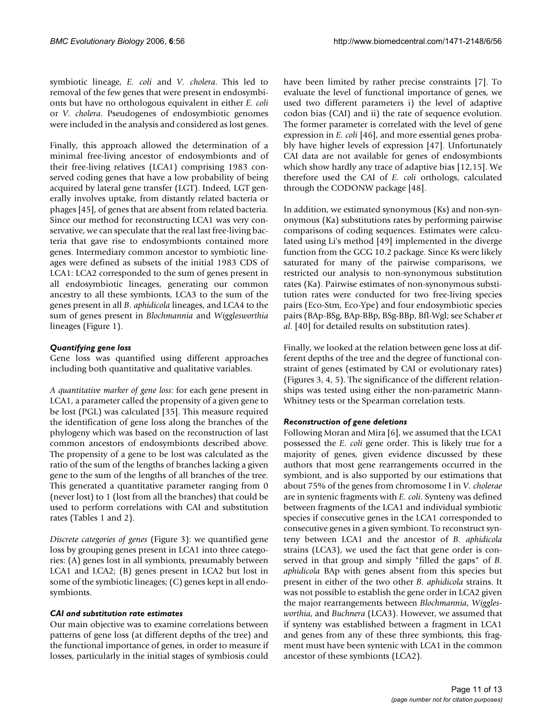symbiotic lineage, *E. coli* and *V. cholera*. This led to removal of the few genes that were present in endosymbionts but have no orthologous equivalent in either *E. coli* or *V. cholera*. Pseudogenes of endosymbiotic genomes were included in the analysis and considered as lost genes.

Finally, this approach allowed the determination of a minimal free-living ancestor of endosymbionts and of their free-living relatives (LCA1) comprising 1983 conserved coding genes that have a low probability of being acquired by lateral gene transfer (LGT). Indeed, LGT generally involves uptake, from distantly related bacteria or phages [45], of genes that are absent from related bacteria. Since our method for reconstructing LCA1 was very conservative, we can speculate that the real last free-living bacteria that gave rise to endosymbionts contained more genes. Intermediary common ancestor to symbiotic lineages were defined as subsets of the initial 1983 CDS of LCA1: LCA2 corresponded to the sum of genes present in all endosymbiotic lineages, generating our common ancestry to all these symbionts, LCA3 to the sum of the genes present in all *B. aphidicola* lineages, and LCA4 to the sum of genes present in *Blochmannia* and *Wigglesworthia* lineages (Figure 1).

## *Quantifying gene loss*

Gene loss was quantified using different approaches including both quantitative and qualitative variables.

*A quantitative marker of gene loss*: for each gene present in LCA1, a parameter called the propensity of a given gene to be lost (PGL) was calculated [35]. This measure required the identification of gene loss along the branches of the phylogeny which was based on the reconstruction of last common ancestors of endosymbionts described above. The propensity of a gene to be lost was calculated as the ratio of the sum of the lengths of branches lacking a given gene to the sum of the lengths of all branches of the tree. This generated a quantitative parameter ranging from 0 (never lost) to 1 (lost from all the branches) that could be used to perform correlations with CAI and substitution rates (Tables 1 and 2).

*Discrete categories of genes* (Figure 3): we quantified gene loss by grouping genes present in LCA1 into three categories: (A) genes lost in all symbionts, presumably between LCA1 and LCA2; (B) genes present in LCA2 but lost in some of the symbiotic lineages; (C) genes kept in all endosymbionts.

## *CAI and substitution rate estimates*

Our main objective was to examine correlations between patterns of gene loss (at different depths of the tree) and the functional importance of genes, in order to measure if losses, particularly in the initial stages of symbiosis could

have been limited by rather precise constraints [7]. To evaluate the level of functional importance of genes, we used two different parameters i) the level of adaptive codon bias (CAI) and ii) the rate of sequence evolution. The former parameter is correlated with the level of gene expression in *E. coli* [46], and more essential genes probably have higher levels of expression [47]. Unfortunately CAI data are not available for genes of endosymbionts which show hardly any trace of adaptive bias [12,15]. We therefore used the CAI of *E. coli* orthologs, calculated through the CODONW package [48].

In addition, we estimated synonymous (Ks) and non-synonymous (Ka) substitutions rates by performing pairwise comparisons of coding sequences. Estimates were calculated using Li's method [49] implemented in the diverge function from the GCG 10.2 package. Since Ks were likely saturated for many of the pairwise comparisons, we restricted our analysis to non-synonymous substitution rates (Ka). Pairwise estimates of non-synonymous substitution rates were conducted for two free-living species pairs (Eco-Stm, Eco-Ype) and four endosymbiotic species pairs (BAp-BSg, BAp-BBp, BSg-BBp, Bfl-Wgl; see Schaber *et al*. [40] for detailed results on substitution rates).

Finally, we looked at the relation between gene loss at different depths of the tree and the degree of functional constraint of genes (estimated by CAI or evolutionary rates) (Figures 3, 4, 5). The significance of the different relationships was tested using either the non-parametric Mann-Whitney tests or the Spearman correlation tests.

## *Reconstruction of gene deletions*

Following Moran and Mira [6], we assumed that the LCA1 possessed the *E. coli* gene order. This is likely true for a majority of genes, given evidence discussed by these authors that most gene rearrangements occurred in the symbiont, and is also supported by our estimations that about 75% of the genes from chromosome I in *V. cholerae* are in syntenic fragments with *E. coli*. Synteny was defined between fragments of the LCA1 and individual symbiotic species if consecutive genes in the LCA1 corresponded to consecutive genes in a given symbiont. To reconstruct synteny between LCA1 and the ancestor of *B. aphidicola* strains (LCA3), we used the fact that gene order is conserved in that group and simply "filled the gaps" of *B. aphidicola* BAp with genes absent from this species but present in either of the two other *B. aphidicola* strains. It was not possible to establish the gene order in LCA2 given the major rearrangements between *Blochmannia*, *Wigglesworthia*, and *Buchnera* (LCA3). However, we assumed that if synteny was established between a fragment in LCA1 and genes from any of these three symbionts, this fragment must have been syntenic with LCA1 in the common ancestor of these symbionts (LCA2).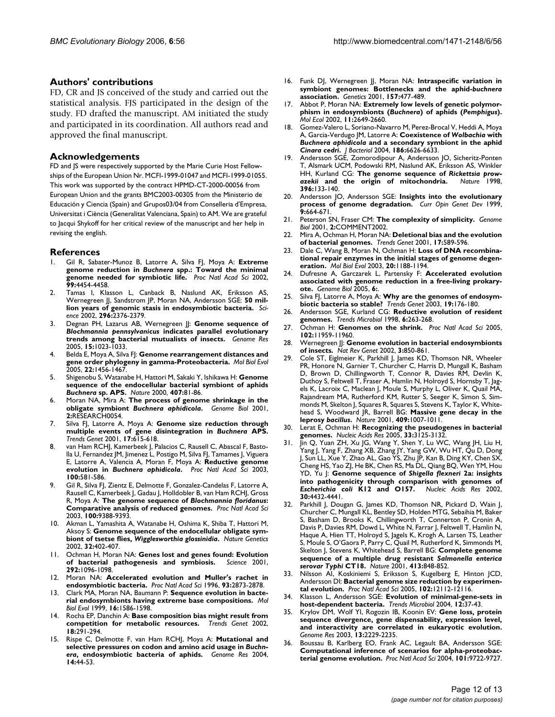#### **Authors' contributions**

FD, CR and JS conceived of the study and carried out the statistical analysis. FJS participated in the design of the study. FD drafted the manuscript. AM initiated the study and participated in its coordination. All authors read and approved the final manuscript.

#### **Acknowledgements**

FD and JS were respectively supported by the Marie Curie Host Fellowships of the European Union Nr. MCFI-1999-01047 and MCFI-1999-01055. This work was supported by the contract HPMD-CT-2000-00056 from European Union and the grants BMC2003-00305 from the Ministerio de Educación y Ciencia (Spain) and Grupos03/04 from Conselleria d'Empresa, Universitat i Ciència (Generalitat Valenciana, Spain) to AM. We are grateful to Jacqui Shykoff for her critical review of the manuscript and her help in revising the english.

#### **References**

- 1. Gil R, Sabater-Munoz B, Latorre A, Silva FJ, Moya A: **Extreme genome reduction in** *Buchnera* **[spp.: Toward the minimal](http://www.ncbi.nlm.nih.gov/entrez/query.fcgi?cmd=Retrieve&db=PubMed&dopt=Abstract&list_uids=11904373) [genome needed for symbiotic life.](http://www.ncbi.nlm.nih.gov/entrez/query.fcgi?cmd=Retrieve&db=PubMed&dopt=Abstract&list_uids=11904373)** *Proc Natl Acad Sci* 2002, **99:**4454-4458.
- 2. Tamas I, Klasson L, Canback B, Naslund AK, Eriksson AS, Wernegreen JJ, Sandstrom JP, Moran NA, Andersson SGE: **[50 mil](http://www.ncbi.nlm.nih.gov/entrez/query.fcgi?cmd=Retrieve&db=PubMed&dopt=Abstract&list_uids=12089438)[lion years of genomic stasis in endosymbiotic bacteria.](http://www.ncbi.nlm.nih.gov/entrez/query.fcgi?cmd=Retrieve&db=PubMed&dopt=Abstract&list_uids=12089438)** *Science* 2002, **296:**2376-2379.
- 3. Degnan PH, Lazarus AB, Wernegreen JJ: **Genome sequence of** *Blochmannia pennsylvanicus* **[indicates parallel evolutionary](http://www.ncbi.nlm.nih.gov/entrez/query.fcgi?cmd=Retrieve&db=PubMed&dopt=Abstract&list_uids=16077009) [trends among bacterial mutualists of insects.](http://www.ncbi.nlm.nih.gov/entrez/query.fcgi?cmd=Retrieve&db=PubMed&dopt=Abstract&list_uids=16077009)** *Genome Res* 2005, **15:**1023-1033.
- 4. Belda E, Moya A, Silva FJ: **[Genome rearrangement distances and](http://www.ncbi.nlm.nih.gov/entrez/query.fcgi?cmd=Retrieve&db=PubMed&dopt=Abstract&list_uids=15772379) [gene order phylogeny in gamma-Proteobacteria.](http://www.ncbi.nlm.nih.gov/entrez/query.fcgi?cmd=Retrieve&db=PubMed&dopt=Abstract&list_uids=15772379)** *Mol Biol Evol* 2005, **22:**1456-1467.
- 5. Shigenobu S, Watanabe H, Hattori M, Sakaki Y, Ishikawa H: **Genome sequence of the endocellular bacterial symbiont of aphids** *Buchnera* **[sp. APS.](http://www.ncbi.nlm.nih.gov/entrez/query.fcgi?cmd=Retrieve&db=PubMed&dopt=Abstract&list_uids=10993077)** *Nature* 2000, **407:**81-86.
- 6. Moran NA, Mira A: **The process of genome shrinkage in the obligate symbiont** *Buchnera aphidicola***[.](http://www.ncbi.nlm.nih.gov/entrez/query.fcgi?cmd=Retrieve&db=PubMed&dopt=Abstract&list_uids=11790257)** *Genome Biol* 2001, **2:**RESEARCH0054.
- 7. Silva FJ, Latorre A, Moya A: **Genome size reduction through multiple events of gene disintegration in** *Buchnera* **[APS.](http://www.ncbi.nlm.nih.gov/entrez/query.fcgi?cmd=Retrieve&db=PubMed&dopt=Abstract&list_uids=11672844)** *Trends Genet* 2001, **17:**615-618.
- 8. van Ham RCHJ, Kamerbeek J, Palacios C, Rausell C, Abascal F, Bastolla U, Fernandez JM, Jimenez L, Postigo M, Silva FJ, Tamames J, Viguera E, Latorre A, Valencia A, Moran F, Moya A: **Reductive genome evolution in** *Buchnera aphidicola***[.](http://www.ncbi.nlm.nih.gov/entrez/query.fcgi?cmd=Retrieve&db=PubMed&dopt=Abstract&list_uids=12522265)** *Proc Natl Acad Sci* 2003, **100:**581-586.
- 9. Gil R, Silva FJ, Zientz E, Delmotte F, Gonzalez-Candelas F, Latorre A, Rausell C, Kamerbeek J, Gadau J, Holldobler B, van Ham RCHJ, Gross R, Moya A: **The genome sequence of** *Blochmannia floridanus***[:](http://www.ncbi.nlm.nih.gov/entrez/query.fcgi?cmd=Retrieve&db=PubMed&dopt=Abstract&list_uids=12886019) [Comparative analysis of reduced genomes.](http://www.ncbi.nlm.nih.gov/entrez/query.fcgi?cmd=Retrieve&db=PubMed&dopt=Abstract&list_uids=12886019)** *Proc Natl Acad Sci* 2003, **100:**9388-9393.
- 10. Akman L, Yamashita A, Watanabe H, Oshima K, Shiba T, Hattori M, Aksoy S: **Genome sequence of the endocellular obligate symbiont of tsetse flies,** *Wigglesworthia glossinidia***[.](http://www.ncbi.nlm.nih.gov/entrez/query.fcgi?cmd=Retrieve&db=PubMed&dopt=Abstract&list_uids=12219091)** *Nature Genetics* 2002, **32:**402-407.
- 11. Ochman H, Moran NA: **[Genes lost and genes found: Evolution](http://www.ncbi.nlm.nih.gov/entrez/query.fcgi?cmd=Retrieve&db=PubMed&dopt=Abstract&list_uids=11352062)** [of bacterial pathogenesis and symbiosis.](http://www.ncbi.nlm.nih.gov/entrez/query.fcgi?cmd=Retrieve&db=PubMed&dopt=Abstract&list_uids=11352062) **292:**1096-1098.
- 12. Moran NA: **[Accelerated evolution and Muller's rachet in](http://www.ncbi.nlm.nih.gov/entrez/query.fcgi?cmd=Retrieve&db=PubMed&dopt=Abstract&list_uids=8610134) [endosymbiotic bacteria.](http://www.ncbi.nlm.nih.gov/entrez/query.fcgi?cmd=Retrieve&db=PubMed&dopt=Abstract&list_uids=8610134)** *Proc Natl Acad Sci* 1996, **93:**2873-2878.
- 13. Clark MA, Moran NA, Baumann P: **[Sequence evolution in bacte](http://www.ncbi.nlm.nih.gov/entrez/query.fcgi?cmd=Retrieve&db=PubMed&dopt=Abstract&list_uids=10555290)[rial endosymbionts having extreme base compositions.](http://www.ncbi.nlm.nih.gov/entrez/query.fcgi?cmd=Retrieve&db=PubMed&dopt=Abstract&list_uids=10555290)** *Mol Biol Evol* 1999, **16:**1586-1598.
- 14. Rocha EP, Danchin A: **[Base composition bias might result from](http://www.ncbi.nlm.nih.gov/entrez/query.fcgi?cmd=Retrieve&db=PubMed&dopt=Abstract&list_uids=12044357) [competition for metabolic resources.](http://www.ncbi.nlm.nih.gov/entrez/query.fcgi?cmd=Retrieve&db=PubMed&dopt=Abstract&list_uids=12044357)** *Trends Genet* 2002, **18:**291-294.
- 15. Rispe C, Delmotte F, van Ham RCHJ, Moya A: **Mutational and selective pressures on codon and amino acid usage in** *Buchnera***[, endosymbiotic bacteria of aphids.](http://www.ncbi.nlm.nih.gov/entrez/query.fcgi?cmd=Retrieve&db=PubMed&dopt=Abstract&list_uids=14672975)** *Genome Res* 2004, **14:**44-53.
- <span id="page-11-0"></span>16. Funk DJ, Wernegreen JJ, Moran NA: **Intraspecific variation in symbiont genomes: Bottlenecks and the aphid-***buchnera* **[association.](http://www.ncbi.nlm.nih.gov/entrez/query.fcgi?cmd=Retrieve&db=PubMed&dopt=Abstract&list_uids=11156972)** *Genetics* 2001, **157:**477-489.
- 17. Abbot P, Moran NA: **Extremely low levels of genetic polymorphism in endosymbionts (***Buchnera***) of aphids (***Pemphigus***[\).](http://www.ncbi.nlm.nih.gov/entrez/query.fcgi?cmd=Retrieve&db=PubMed&dopt=Abstract&list_uids=12453247)** *Mol Ecol* 2002, **11:**2649-2660.
- 18. Gomez-Valero L, Soriano-Navarro M, Perez-Brocal V, Heddi A, Moya A, Garcia-Verdugo JM, Latorre A: **Coexistence of** *Wolbachia* **with** *Buchnera aphidicola* **and a secondary symbiont in the aphid** *Cinara cedri***[.](http://www.ncbi.nlm.nih.gov/entrez/query.fcgi?cmd=Retrieve&db=PubMed&dopt=Abstract&list_uids=15375144)** *J Bacteriol* 2004, **186:**6626-6633.
- 19. Andersson SGE, Zomorodipour A, Andersson JO, Sicheritz-Ponten T, Alsmark UCM, Podowski RM, Naslund AK, Eriksson AS, Winkler HH, Kurland CG: **The genome sequence of** *Rickettsia prowazekii* [and the origin of mitochondria.](http://www.ncbi.nlm.nih.gov/entrez/query.fcgi?cmd=Retrieve&db=PubMed&dopt=Abstract&list_uids=9823893) **396:**133-140.
- 20. Andersson JO, Andersson SGE: **[Insights into the evolutionary](http://www.ncbi.nlm.nih.gov/entrez/query.fcgi?cmd=Retrieve&db=PubMed&dopt=Abstract&list_uids=10607609) [process of genome degradation.](http://www.ncbi.nlm.nih.gov/entrez/query.fcgi?cmd=Retrieve&db=PubMed&dopt=Abstract&list_uids=10607609)** *Curr Opin Genet Dev* 1999, **9:**664-671.
- 21. Peterson SN, Fraser CM: **[The complexity of simplicity.](http://www.ncbi.nlm.nih.gov/entrez/query.fcgi?cmd=Retrieve&db=PubMed&dopt=Abstract&list_uids=11182883)** *Genome Biol* 2001, **2:**COMMENT2002.
- 22. Mira A, Ochman H, Moran NA: **[Deletional bias and the evolution](http://www.ncbi.nlm.nih.gov/entrez/query.fcgi?cmd=Retrieve&db=PubMed&dopt=Abstract&list_uids=11585665) [of bacterial genomes.](http://www.ncbi.nlm.nih.gov/entrez/query.fcgi?cmd=Retrieve&db=PubMed&dopt=Abstract&list_uids=11585665)** *Trends Genet* 2001, **17:**589-596.
- 23. Dale C, Wang B, Moran N, Ochman H: **[Loss of DNA recombina](http://www.ncbi.nlm.nih.gov/entrez/query.fcgi?cmd=Retrieve&db=PubMed&dopt=Abstract&list_uids=12777518)[tional repair enzymes in the initial stages of genome degen](http://www.ncbi.nlm.nih.gov/entrez/query.fcgi?cmd=Retrieve&db=PubMed&dopt=Abstract&list_uids=12777518)[eration.](http://www.ncbi.nlm.nih.gov/entrez/query.fcgi?cmd=Retrieve&db=PubMed&dopt=Abstract&list_uids=12777518)** *Mol Biol Evol* 2003, **20:**1188-1194.
- 24. Dufresne A, Garczarek L, Partensky F: **[Accelerated evolution](http://www.ncbi.nlm.nih.gov/entrez/query.fcgi?cmd=Retrieve&db=PubMed&dopt=Abstract&list_uids=15693943) [associated with genome reduction in a free-living prokary](http://www.ncbi.nlm.nih.gov/entrez/query.fcgi?cmd=Retrieve&db=PubMed&dopt=Abstract&list_uids=15693943)[ote.](http://www.ncbi.nlm.nih.gov/entrez/query.fcgi?cmd=Retrieve&db=PubMed&dopt=Abstract&list_uids=15693943)** *Genome Biol* 2005, **6:**.
- 25. Silva FJ, Latorre A, Moya A: **[Why are the genomes of endosym](http://www.ncbi.nlm.nih.gov/entrez/query.fcgi?cmd=Retrieve&db=PubMed&dopt=Abstract&list_uids=12683967)[biotic bacteria so stable?](http://www.ncbi.nlm.nih.gov/entrez/query.fcgi?cmd=Retrieve&db=PubMed&dopt=Abstract&list_uids=12683967)** *Trends Genet* 2003, **19:**176-180.
- 26. Andersson SGE, Kurland CG: **[Reductive evolution of resident](http://www.ncbi.nlm.nih.gov/entrez/query.fcgi?cmd=Retrieve&db=PubMed&dopt=Abstract&list_uids=9717214) [genomes.](http://www.ncbi.nlm.nih.gov/entrez/query.fcgi?cmd=Retrieve&db=PubMed&dopt=Abstract&list_uids=9717214)** *Trends Microbiol* 1998, **6:**263-268.
- 27. Ochman H: **[Genomes on the shrink.](http://www.ncbi.nlm.nih.gov/entrez/query.fcgi?cmd=Retrieve&db=PubMed&dopt=Abstract&list_uids=16105941)** *Proc Natl Acad Sci* 2005, **102:**11959-11960.
- 28. Wernegreen JJ: [Genome evolution in bacterial endosymbionts](http://www.ncbi.nlm.nih.gov/entrez/query.fcgi?cmd=Retrieve&db=PubMed&dopt=Abstract&list_uids=12415315) **[of insects.](http://www.ncbi.nlm.nih.gov/entrez/query.fcgi?cmd=Retrieve&db=PubMed&dopt=Abstract&list_uids=12415315)** *Nat Rev Genet* 2002, **3:**850-861.
- 29. Cole ST, Eiglmeier K, Parkhill J, James KD, Thomson NR, Wheeler PR, Honore N, Garnier T, Churcher C, Harris D, Mungall K, Basham D, Brown D, Chillingworth T, Connor R, Davies RM, Devlin K, Duthoy S, Feltwell T, Fraser A, Hamlin N, Holroyd S, Hornsby T, Jagels K, Lacroix C, Maclean J, Moule S, Murphy L, Oliver K, Quail MA, Rajandream MA, Rutherford KM, Rutter S, Seeger K, Simon S, Simmonds M, Skelton J, Squares R, Squares S, Stevens K, Taylor K, Whitehead S, Woodward JR, Barrell BG: **Massive gene decay in the leprosy** *bacillus***[.](http://www.ncbi.nlm.nih.gov/entrez/query.fcgi?cmd=Retrieve&db=PubMed&dopt=Abstract&list_uids=11234002)** *Nature* 2001, **409:**1007-1011.
- Lerat E, Ochman H: [Recognizing the pseudogenes in bacterial](http://www.ncbi.nlm.nih.gov/entrez/query.fcgi?cmd=Retrieve&db=PubMed&dopt=Abstract&list_uids=15933207) **[genomes.](http://www.ncbi.nlm.nih.gov/entrez/query.fcgi?cmd=Retrieve&db=PubMed&dopt=Abstract&list_uids=15933207)** *Nucleic Acids Res* 2005, **33:**3125-3132.
- 31. Jin Q, Yuan ZH, Xu JG, Wang Y, Shen Y, Lu WC, Wang JH, Liu H, Yang J, Yang F, Zhang XB, Zhang JY, Yang GW, Wu HT, Qu D, Dong J, Sun LL, Xue Y, Zhao AL, Gao YS, Zhu JP, Kan B, Ding KY, Chen SX, Cheng HS, Yao ZJ, He BK, Chen RS, Ma DL, Qiang BQ, Wen YM, Hou YD, Yu J: **Genome sequence of** *Shigella flexneri* **2a: insights into pathogenicity through comparison with genomes of** *Escherichia coli* **[K12 and O157.](http://www.ncbi.nlm.nih.gov/entrez/query.fcgi?cmd=Retrieve&db=PubMed&dopt=Abstract&list_uids=12384590)** *Nucleic Acids Res* 2002, **30:**4432-4441.
- 32. Parkhill J, Dougan G, James KD, Thomson NR, Pickard D, Wain J, Churcher C, Mungall KL, Bentley SD, Holden MTG, Sebaihia M, Baker S, Basham D, Brooks K, Chillingworth T, Connerton P, Cronin A, Davis P, Davies RM, Dowd L, White N, Farrar J, Feltwell T, Hamlin N, Haque A, Hien TT, Holroyd S, Jagels K, Krogh A, Larsen TS, Leather S, Moule S, O'Gaora P, Parry C, Quail M, Rutherford K, Simmonds M, Skelton J, Stevens K, Whitehead S, Barrell BG: **Complete genome sequence of a multiple drug resistant** *Salmonella enterica serovar Typhi* **[CT18.](http://www.ncbi.nlm.nih.gov/entrez/query.fcgi?cmd=Retrieve&db=PubMed&dopt=Abstract&list_uids=11677608)** *Nature* 2001, **413:**848-852.
- 33. Nilsson AI, Koskiniemi S, Eriksson S, Kugelberg E, Hinton JCD, Andersson DI: **[Bacterial genome size reduction by experimen](http://www.ncbi.nlm.nih.gov/entrez/query.fcgi?cmd=Retrieve&db=PubMed&dopt=Abstract&list_uids=16099836)[tal evolution.](http://www.ncbi.nlm.nih.gov/entrez/query.fcgi?cmd=Retrieve&db=PubMed&dopt=Abstract&list_uids=16099836)** *Proc Natl Acad Sci* 2005, **102:**12112-12116.
- 34. Klasson L, Andersson SGE: **[Evolution of minimal-gene-sets in](http://www.ncbi.nlm.nih.gov/entrez/query.fcgi?cmd=Retrieve&db=PubMed&dopt=Abstract&list_uids=14700550) [host-dependent bacteria.](http://www.ncbi.nlm.nih.gov/entrez/query.fcgi?cmd=Retrieve&db=PubMed&dopt=Abstract&list_uids=14700550)** *Trends Microbiol* 2004, **12:**37-43.
- 35. Krylov DM, Wolf YI, Rogozin IB, Koonin EV: **[Gene loss, protein](http://www.ncbi.nlm.nih.gov/entrez/query.fcgi?cmd=Retrieve&db=PubMed&dopt=Abstract&list_uids=14525925) [sequence divergence, gene dispensability, expression level,](http://www.ncbi.nlm.nih.gov/entrez/query.fcgi?cmd=Retrieve&db=PubMed&dopt=Abstract&list_uids=14525925) and interactivity are correlated in eukaryotic evolution.** *Genome Res* 2003, **13:**2229-2235.
- Boussau B, Karlberg EO, Frank AC, Legault BA, Andersson SGE: **[Computational inference of scenarios for alpha-proteobac](http://www.ncbi.nlm.nih.gov/entrez/query.fcgi?cmd=Retrieve&db=PubMed&dopt=Abstract&list_uids=15210995)[terial genome evolution.](http://www.ncbi.nlm.nih.gov/entrez/query.fcgi?cmd=Retrieve&db=PubMed&dopt=Abstract&list_uids=15210995)** *Proc Natl Acad Sci* 2004, **101:**9722-9727.